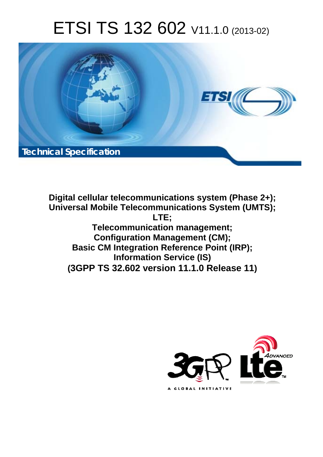# ETSI TS 132 602 V11.1.0 (2013-02)



**Digital cellular telecommunications system (Phase 2+); Universal Mobile Telecommunications System (UMTS); LTE; Telecommunication management; Configuration Management (CM); Basic CM Integration Reference Point (IRP); Information Service (IS) (3GPP TS 32.602 version 11.1.0 Release 11)**

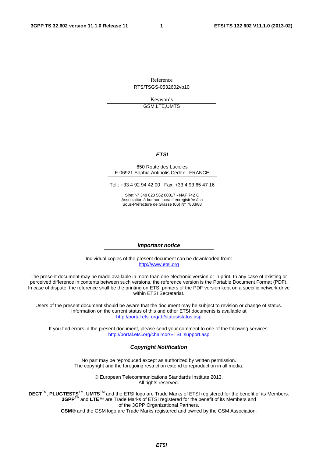Reference RTS/TSGS-0532602vb10

> Keywords GSM,LTE,UMTS

#### *ETSI*

#### 650 Route des Lucioles F-06921 Sophia Antipolis Cedex - FRANCE

Tel.: +33 4 92 94 42 00 Fax: +33 4 93 65 47 16

Siret N° 348 623 562 00017 - NAF 742 C Association à but non lucratif enregistrée à la Sous-Préfecture de Grasse (06) N° 7803/88

#### *Important notice*

Individual copies of the present document can be downloaded from: [http://www.etsi.org](http://www.etsi.org/)

The present document may be made available in more than one electronic version or in print. In any case of existing or perceived difference in contents between such versions, the reference version is the Portable Document Format (PDF). In case of dispute, the reference shall be the printing on ETSI printers of the PDF version kept on a specific network drive within ETSI Secretariat.

Users of the present document should be aware that the document may be subject to revision or change of status. Information on the current status of this and other ETSI documents is available at <http://portal.etsi.org/tb/status/status.asp>

If you find errors in the present document, please send your comment to one of the following services: [http://portal.etsi.org/chaircor/ETSI\\_support.asp](http://portal.etsi.org/chaircor/ETSI_support.asp)

#### *Copyright Notification*

No part may be reproduced except as authorized by written permission. The copyright and the foregoing restriction extend to reproduction in all media.

> © European Telecommunications Standards Institute 2013. All rights reserved.

**DECT**TM, **PLUGTESTS**TM, **UMTS**TM and the ETSI logo are Trade Marks of ETSI registered for the benefit of its Members. **3GPP**TM and **LTE**™ are Trade Marks of ETSI registered for the benefit of its Members and of the 3GPP Organizational Partners.

**GSM**® and the GSM logo are Trade Marks registered and owned by the GSM Association.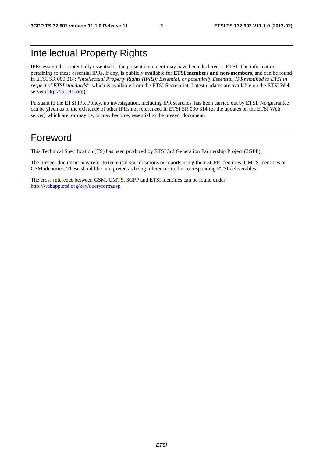# Intellectual Property Rights

IPRs essential or potentially essential to the present document may have been declared to ETSI. The information pertaining to these essential IPRs, if any, is publicly available for **ETSI members and non-members**, and can be found in ETSI SR 000 314: *"Intellectual Property Rights (IPRs); Essential, or potentially Essential, IPRs notified to ETSI in respect of ETSI standards"*, which is available from the ETSI Secretariat. Latest updates are available on the ETSI Web server [\(http://ipr.etsi.org](http://webapp.etsi.org/IPR/home.asp)).

Pursuant to the ETSI IPR Policy, no investigation, including IPR searches, has been carried out by ETSI. No guarantee can be given as to the existence of other IPRs not referenced in ETSI SR 000 314 (or the updates on the ETSI Web server) which are, or may be, or may become, essential to the present document.

### Foreword

This Technical Specification (TS) has been produced by ETSI 3rd Generation Partnership Project (3GPP).

The present document may refer to technical specifications or reports using their 3GPP identities, UMTS identities or GSM identities. These should be interpreted as being references to the corresponding ETSI deliverables.

The cross reference between GSM, UMTS, 3GPP and ETSI identities can be found under <http://webapp.etsi.org/key/queryform.asp>.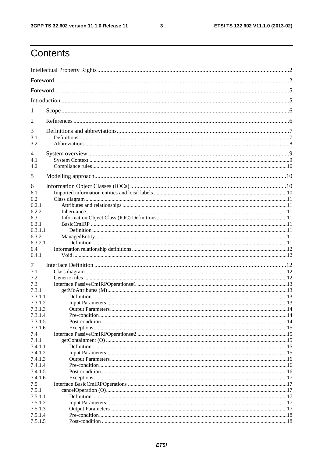$\mathbf{3}$ 

# Contents

| 1                |  |
|------------------|--|
| 2                |  |
| 3                |  |
| 3.1              |  |
| 3.2              |  |
| 4<br>4.1         |  |
| 4.2              |  |
| 5                |  |
| 6                |  |
| 6.1              |  |
| 6.2              |  |
| 6.2.1            |  |
| 6.2.2            |  |
| 6.3              |  |
| 6.3.1            |  |
| 6.3.1.1          |  |
| 6.3.2            |  |
| 6.3.2.1<br>6.4   |  |
| 6.4.1            |  |
|                  |  |
| 7                |  |
| 7.1              |  |
| 7.2              |  |
| 7.3              |  |
| 7.3.1<br>7.3.1.1 |  |
| 7.3.1.2          |  |
| 7.3.1.3          |  |
| 7.3.1.4          |  |
| 7.3.1.5          |  |
| 7.3.1.6          |  |
| 7.4              |  |
| 7.4.1            |  |
| 7.4.1.1          |  |
| 7.4.1.2          |  |
| 7.4.1.3          |  |
| 7.4.1.4          |  |
| 7.4.1.5          |  |
| 7.4.1.6          |  |
| 7.5              |  |
| 7.5.1            |  |
| 7.5.1.1          |  |
| 7.5.1.2          |  |
| 7.5.1.3          |  |
| 7.5.1.4          |  |
| 7.5.1.5          |  |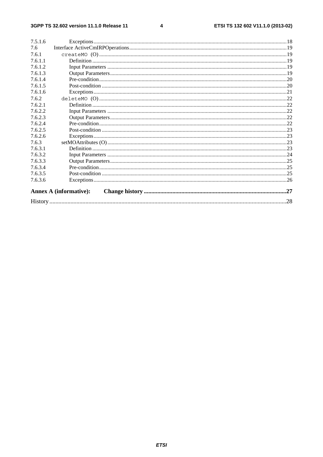#### $\overline{\mathbf{4}}$

| 7.5.1.6 |                               |     |
|---------|-------------------------------|-----|
| 7.6     |                               |     |
| 7.6.1   |                               |     |
| 7.6.1.1 |                               |     |
| 7.6.1.2 |                               |     |
| 7.6.1.3 |                               |     |
| 7.6.1.4 |                               |     |
| 7.6.1.5 |                               |     |
| 7.6.1.6 |                               |     |
| 7.6.2   |                               |     |
| 7.6.2.1 |                               |     |
| 7.6.2.2 |                               |     |
| 7.6.2.3 |                               |     |
| 7.6.2.4 |                               |     |
| 7.6.2.5 |                               |     |
| 7.6.2.6 |                               |     |
| 7.6.3   |                               |     |
| 7.6.3.1 |                               |     |
| 7.6.3.2 |                               |     |
| 7.6.3.3 |                               |     |
| 7.6.3.4 |                               |     |
| 7.6.3.5 |                               |     |
| 7.6.3.6 |                               |     |
|         | <b>Annex A (informative):</b> |     |
|         |                               | .28 |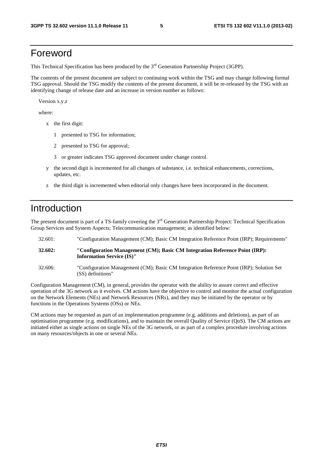### Foreword

This Technical Specification has been produced by the 3<sup>rd</sup> Generation Partnership Project (3GPP).

The contents of the present document are subject to continuing work within the TSG and may change following formal TSG approval. Should the TSG modify the contents of the present document, it will be re-released by the TSG with an identifying change of release date and an increase in version number as follows:

Version x.y.z

where:

- x the first digit:
	- 1 presented to TSG for information;
	- 2 presented to TSG for approval;
	- 3 or greater indicates TSG approved document under change control.
- y the second digit is incremented for all changes of substance, i.e. technical enhancements, corrections, updates, etc.
- z the third digit is incremented when editorial only changes have been incorporated in the document.

# Introduction

The present document is part of a TS-family covering the 3<sup>rd</sup> Generation Partnership Project: Technical Specification Group Services and System Aspects; Telecommunication management; as identified below:

- 32.601: "Configuration Management (CM); Basic CM Integration Reference Point (IRP); Requirements"
- **32.602: "Configuration Management (CM); Basic CM Integration Reference Point (IRP): Information Service (IS)"**
- 32.606: "Configuration Management (CM); Basic CM Integration Reference Point (IRP); Solution Set (SS) definitions"

Configuration Management (CM), in general, provides the operator with the ability to assure correct and effective operation of the 3G network as it evolves. CM actions have the objective to control and monitor the actual configuration on the Network Elements (NEs) and Network Resources (NRs), and they may be initiated by the operator or by functions in the Operations Systems (OSs) or NEs.

CM actions may be requested as part of an implementation programme (e.g. additions and deletions), as part of an optimisation programme (e.g. modifications), and to maintain the overall Quality of Service (QoS). The CM actions are initiated either as single actions on single NEs of the 3G network, or as part of a complex procedure involving actions on many resources/objects in one or several NEs.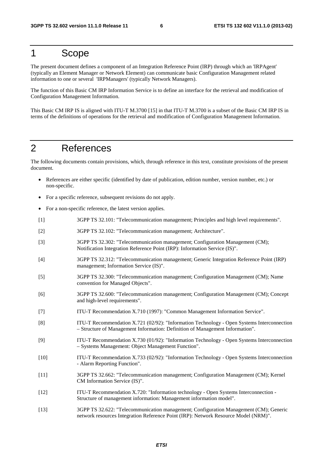# 1 Scope

The present document defines a component of an Integration Reference Point (IRP) through which an 'IRPAgent' (typically an Element Manager or Network Element) can communicate basic Configuration Management related information to one or several 'IRPManagers' (typically Network Managers).

The function of this Basic CM IRP Information Service is to define an interface for the retrieval and modification of Configuration Management Information.

This Basic CM IRP IS is aligned with ITU-T M.3700 [15] in that ITU-T M.3700 is a subset of the Basic CM IRP IS in terms of the definitions of operations for the retrieval and modification of Configuration Management Information.

# 2 References

The following documents contain provisions, which, through reference in this text, constitute provisions of the present document.

- References are either specific (identified by date of publication, edition number, version number, etc.) or non-specific.
- For a specific reference, subsequent revisions do not apply.
- For a non-specific reference, the latest version applies.

| $[1]$  | 3GPP TS 32.101: "Telecommunication management; Principles and high level requirements".                                                                                      |
|--------|------------------------------------------------------------------------------------------------------------------------------------------------------------------------------|
| $[2]$  | 3GPP TS 32.102: "Telecommunication management; Architecture".                                                                                                                |
| $[3]$  | 3GPP TS 32.302: "Telecommunication management; Configuration Management (CM);<br>Notification Integration Reference Point (IRP): Information Service (IS)".                  |
| $[4]$  | 3GPP TS 32.312: "Telecommunication management; Generic Integration Reference Point (IRP)<br>management; Information Service (IS)".                                           |
| $[5]$  | 3GPP TS 32.300: "Telecommunication management; Configuration Management (CM); Name<br>convention for Managed Objects".                                                       |
| [6]    | 3GPP TS 32.600: "Telecommunication management; Configuration Management (CM); Concept<br>and high-level requirements".                                                       |
| $[7]$  | ITU-T Recommendation X.710 (1997): "Common Management Information Service".                                                                                                  |
| [8]    | ITU-T Recommendation X.721 (02/92): "Information Technology - Open Systems Interconnection<br>- Structure of Management Information: Definition of Management Information".  |
| [9]    | ITU-T Recommendation X.730 (01/92): "Information Technology - Open Systems Interconnection<br>- Systems Management: Object Management Function".                             |
| $[10]$ | ITU-T Recommendation X.733 (02/92): "Information Technology - Open Systems Interconnection<br>- Alarm Reporting Function".                                                   |
| $[11]$ | 3GPP TS 32.662: "Telecommunication management; Configuration Management (CM); Kernel<br>CM Information Service (IS)".                                                        |
| $[12]$ | ITU-T Recommendation X.720: "Information technology - Open Systems Interconnection -<br>Structure of management information: Management information model".                  |
| $[13]$ | 3GPP TS 32.622: "Telecommunication management; Configuration Management (CM); Generic<br>network resources Integration Reference Point (IRP): Network Resource Model (NRM)". |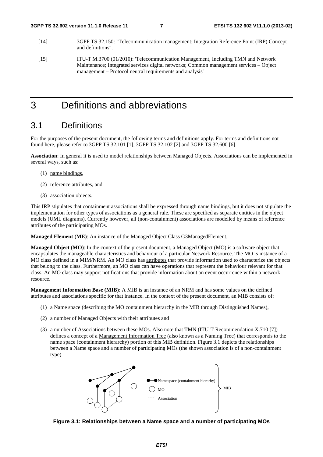- [14] 3GPP TS 32.150: "Telecommunication management; Integration Reference Point (IRP) Concept and definitions".
- [15] ITU-T M.3700 (01/2010): 'Telecommunication Management, Including TMN and Network Maintenance; Integrated services digital networks; Common management services – Object management – Protocol neutral requirements and analysis'

# 3 Definitions and abbreviations

### 3.1 Definitions

For the purposes of the present document, the following terms and definitions apply. For terms and definitions not found here, please refer to 3GPP TS 32.101 [1], 3GPP TS 32.102 [2] and 3GPP TS 32.600 [6].

**Association**: In general it is used to model relationships between Managed Objects. Associations can be implemented in several ways, such as:

- (1) name bindings,
- (2) reference attributes, and
- (3) association objects.

This IRP stipulates that containment associations shall be expressed through name bindings, but it does not stipulate the implementation for other types of associations as a general rule. These are specified as separate entities in the object models (UML diagrams). Currently however, all (non-containment) associations are modelled by means of reference attributes of the participating MOs.

**Managed Element (ME)**: An instance of the Managed Object Class G3ManagedElement.

**Managed Object (MO)**: In the context of the present document, a Managed Object (MO) is a software object that encapsulates the manageable characteristics and behaviour of a particular Network Resource. The MO is instance of a MO class defined in a MIM/NRM. An MO class has attributes that provide information used to characterize the objects that belong to the class. Furthermore, an MO class can have operations that represent the behaviour relevant for that class. An MO class may support notifications that provide information about an event occurrence within a network resource.

**Management Information Base (MIB)**: A MIB is an instance of an NRM and has some values on the defined attributes and associations specific for that instance. In the context of the present document, an MIB consists of:

- (1) a Name space (describing the MO containment hierarchy in the MIB through Distinguished Names),
- (2) a number of Managed Objects with their attributes and
- (3) a number of Associations between these MOs. Also note that TMN (ITU-T Recommendation X.710 [7]) defines a concept of a Management Information Tree (also known as a Naming Tree) that corresponds to the name space (containment hierarchy) portion of this MIB definition. Figure 3.1 depicts the relationships between a Name space and a number of participating MOs (the shown association is of a non-containment type)



#### **Figure 3.1: Relationships between a Name space and a number of participating MOs**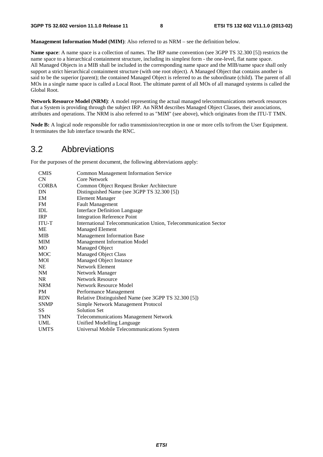**Management Information Model (MIM)**: Also referred to as NRM – see the definition below.

**Name space**: A name space is a collection of names. The IRP name convention (see 3GPP TS 32.300 [5]) restricts the name space to a hierarchical containment structure, including its simplest form - the one-level, flat name space. All Managed Objects in a MIB shall be included in the corresponding name space and the MIB/name space shall only support a strict hierarchical containment structure (with one root object). A Managed Object that contains another is said to be the superior (parent); the contained Managed Object is referred to as the subordinate (child). The parent of all MOs in a single name space is called a Local Root. The ultimate parent of all MOs of all managed systems is called the Global Root.

**Network Resource Model (NRM)**: A model representing the actual managed telecommunications network resources that a System is providing through the subject IRP. An NRM describes Managed Object Classes, their associations, attributes and operations. The NRM is also referred to as "MIM" (see above), which originates from the ITU-T TMN.

**Node B:** A logical node responsible for radio transmission/reception in one or more cells to/from the User Equipment. It terminates the Iub interface towards the RNC.

### 3.2 Abbreviations

For the purposes of the present document, the following abbreviations apply:

| <b>CMIS</b>  | <b>Common Management Information Service</b>                    |
|--------------|-----------------------------------------------------------------|
| CN           | Core Network                                                    |
| <b>CORBA</b> | Common Object Request Broker Architecture                       |
| DN           | Distinguished Name (see 3GPP TS 32.300 [5])                     |
| EM           | <b>Element Manager</b>                                          |
| FM           | <b>Fault Management</b>                                         |
| IDL          | <b>Interface Definition Language</b>                            |
| <b>IRP</b>   | <b>Integration Reference Point</b>                              |
| <b>ITU-T</b> | International Telecommunication Union, Telecommunication Sector |
| ME           | <b>Managed Element</b>                                          |
| <b>MIB</b>   | <b>Management Information Base</b>                              |
| <b>MIM</b>   | <b>Management Information Model</b>                             |
| <b>MO</b>    | Managed Object                                                  |
| <b>MOC</b>   | <b>Managed Object Class</b>                                     |
| <b>MOI</b>   | Managed Object Instance                                         |
| NE           | Network Element                                                 |
| NM           | Network Manager                                                 |
| NR           | Network Resource                                                |
| <b>NRM</b>   | Network Resource Model                                          |
| PM           | Performance Management                                          |
| <b>RDN</b>   | Relative Distinguished Name (see 3GPP TS 32.300 [5])            |
| <b>SNMP</b>  | Simple Network Management Protocol                              |
| SS.          | <b>Solution Set</b>                                             |
| <b>TMN</b>   | <b>Telecommunications Management Network</b>                    |
| <b>UML</b>   | Unified Modelling Language                                      |
| <b>UMTS</b>  | Universal Mobile Telecommunications System                      |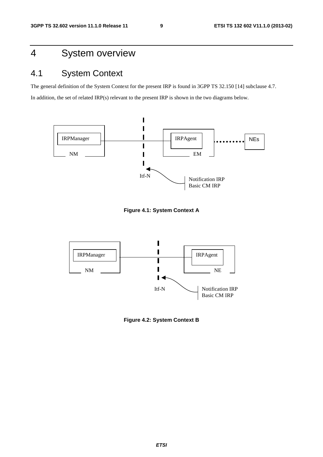# 4 System overview

# 4.1 System Context

The general definition of the System Context for the present IRP is found in 3GPP TS 32.150 [14] subclause 4.7. In addition, the set of related IRP(s) relevant to the present IRP is shown in the two diagrams below.



**Figure 4.1: System Context A** 



**Figure 4.2: System Context B**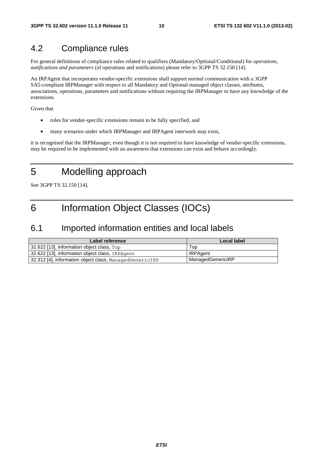### 4.2 Compliance rules

For general definitions of compliance rules related to qualifiers (Mandatory/Optional/Conditional) for *operations*, *notifications and parameters* (of operations and notifications) please refer to 3GPP TS 32.150 [14].

An IRPAgent that incorporates vendor-specific extensions shall support normal communication with a 3GPP SA5-compliant IRPManager with respect to all Mandatory and Optional managed object classes, attributes, associations, operations, parameters and notifications without requiring the IRPManager to have any knowledge of the extensions.

Given that

- rules for vendor-specific extensions remain to be fully specified, and
- many scenarios under which IRPManager and IRPAgent interwork may exist,

it is recognised that the IRPManager, even though it is not required to have knowledge of vendor-specific extensions, may be required to be implemented with an awareness that extensions can exist and behave accordingly.

# 5 Modelling approach

See 3GPP TS 32.150 [14].

# 6 Information Object Classes (IOCs)

### 6.1 Imported information entities and local labels

| Label reference                                         | Local label       |
|---------------------------------------------------------|-------------------|
| 32.622 [13], information object class, Top              | Top               |
| 32.622 [13], information object class, IRPAgent         | <b>IRPAgent</b>   |
| 32.312 [4], information object class, ManagedGenericIRP | ManagedGenericIRP |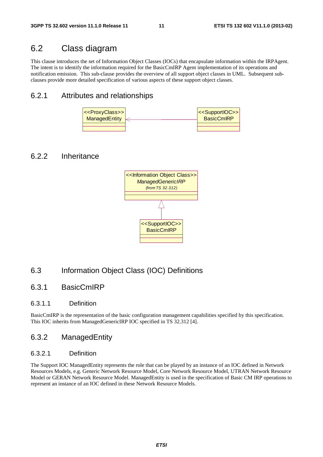### 6.2 Class diagram

This clause introduces the set of Information Object Classes (IOCs) that encapsulate information within the IRPAgent. The intent is to identify the information required for the BasicCmIRP Agent implementation of its operations and notification emission. This sub-clause provides the overview of all support object classes in UML. Subsequent subclauses provide more detailed specification of various aspects of these support object classes.

#### 6.2.1 Attributes and relationships



### 6.2.2 Inheritance



### 6.3 Information Object Class (IOC) Definitions

#### 6.3.1 BasicCmIRP

#### 6.3.1.1 Definition

BasicCmIRP is the representation of the basic configuration management capabilities specified by this specification. This IOC inherits from ManagedGenericIRP IOC specified in TS 32.312 [4].

#### 6.3.2 ManagedEntity

#### 6.3.2.1 Definition

The Support IOC ManagedEntity represents the role that can be played by an instance of an IOC defined in Network Resources Models, e.g. Generic Network Resource Model, Core Network Resource Model, UTRAN Network Resource Model or GERAN Network Resource Model. ManagedEntity is used in the specification of Basic CM IRP operations to represent an instance of an IOC defined in these Network Resource Models.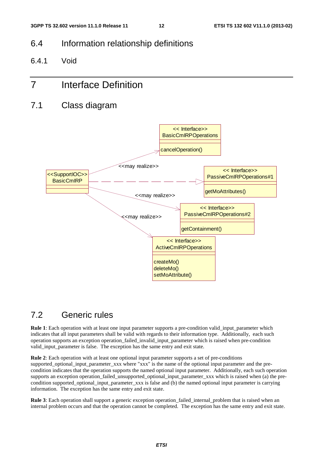### 6.4 Information relationship definitions

6.4.1 Void

# 7 Interface Definition

7.1 Class diagram



### 7.2 Generic rules

**Rule 1**: Each operation with at least one input parameter supports a pre-condition valid\_input\_parameter which indicates that all input parameters shall be valid with regards to their information type. Additionally, each such operation supports an exception operation\_failed\_invalid\_input\_parameter which is raised when pre-condition valid input parameter is false. The exception has the same entry and exit state.

**Rule 2**: Each operation with at least one optional input parameter supports a set of pre-conditions supported\_optional\_input\_parameter\_xxx where "xxx" is the name of the optional input parameter and the precondition indicates that the operation supports the named optional input parameter. Additionally, each such operation supports an exception operation\_failed\_unsupported\_optional\_input\_parameter\_xxx which is raised when (a) the precondition supported\_optional\_input\_parameter\_xxx is false and (b) the named optional input parameter is carrying information. The exception has the same entry and exit state.

**Rule 3**: Each operation shall support a generic exception operation\_failed\_internal\_problem that is raised when an internal problem occurs and that the operation cannot be completed. The exception has the same entry and exit state.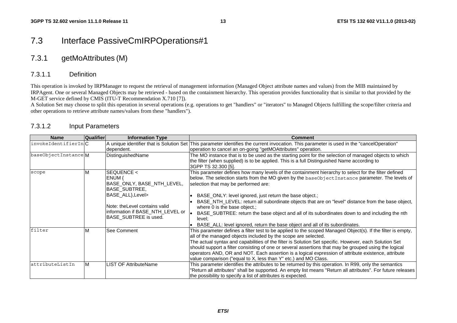### 7.3 Interface PassiveCmIRPOperations#1

### 7.3.1 getMoAttributes (M)

#### 7.3.1.1 Definition

This operation is invoked by IRPManager to request the retrieval of management information (Managed Object attribute names and values) from the MIB maintained by IRPAgent. One or several Managed Objects may be retrieved - based on the containment hierarchy. This operation provides functionality that is similar to that provided by the M-GET service defined by CMIS (ITU-T Recommendation X.710 [7]).

A Solution Set may choose to split this operation in several operations (e.g. operations to get "handlers" or "iterators" to Managed Objects fulfilling the scope/filter criteria and other operations to retrieve attribute names/values from these "handlers").

| <b>Name</b>         | <b>Qualifier</b> | <b>Information Type</b>          | <b>Comment</b>                                                                                                                             |
|---------------------|------------------|----------------------------------|--------------------------------------------------------------------------------------------------------------------------------------------|
| invokeIdentifierInC |                  |                                  | A unique identifier that is Solution Set This parameter identifies the current invocation. This parameter is used in the "cancelOperation" |
|                     |                  | dependent.                       | operation to cancel an on-going "getMOAttributes" operation.                                                                               |
| baseObjectInstanceM |                  | DistinguishedName                | The MO instance that is to be used as the starting point for the selection of managed objects to which                                     |
|                     |                  |                                  | the filter (when supplied) is to be applied. This is a full Distinguished Name according to                                                |
|                     |                  |                                  | 3GPP TS 32.300 [5].                                                                                                                        |
| scope               |                  | SEQUENCE <                       | This parameter defines how many levels of the containment hierarchy to select for the filter defined                                       |
|                     |                  | ENUM {                           | below. The selection starts from the MO given by the baseObjectInstance parameter. The levels of                                           |
|                     |                  | BASE_ONLY, BASE_NTH_LEVEL,       | selection that may be performed are:                                                                                                       |
|                     |                  | BASE_SUBTREE,                    |                                                                                                                                            |
|                     |                  | BASE_ALL}, Level>                | BASE_ONLY: level ignored, just return the base object.;                                                                                    |
|                     |                  |                                  | BASE_NTH_LEVEL: return all subordinate objects that are on "level" distance from the base object,                                          |
|                     |                  | Note: the Level contains valid   | where 0 is the base object.;                                                                                                               |
|                     |                  | information if BASE_NTH_LEVEL or | BASE_SUBTREE: return the base object and all of its subordinates down to and including the nth                                             |
|                     |                  | BASE SUBTREE is used.            | level:                                                                                                                                     |
|                     |                  |                                  | BASE_ALL: level ignored, return the base object and all of its subordinates.                                                               |
| filter              |                  | See Comment                      | This parameter defines a filter test to be applied to the scoped Managed Object(s). If the filter is empty,                                |
|                     |                  |                                  | all of the managed objects included by the scope are selected.                                                                             |
|                     |                  |                                  | The actual syntax and capabilities of the filter is Solution Set specific. However, each Solution Set                                      |
|                     |                  |                                  | should support a filter consisting of one or several assertions that may be grouped using the logical                                      |
|                     |                  |                                  | operators AND, OR and NOT. Each assertion is a logical expression of attribute existence, attribute                                        |
|                     |                  |                                  | value comparison ("equal to X, less than Y" etc.) and MO Class.                                                                            |
| attributeListIn     | М                | <b>LIST OF AttributeName</b>     | This parameter identifies the attributes to be returned by this operation. In R99, only the semantics                                      |
|                     |                  |                                  | "Return all attributes" shall be supported. An empty list means "Return all attributes". For future releases                               |
|                     |                  |                                  | the possibility to specify a list of attributes is expected.                                                                               |

#### 7.3.1.2 Input Parameters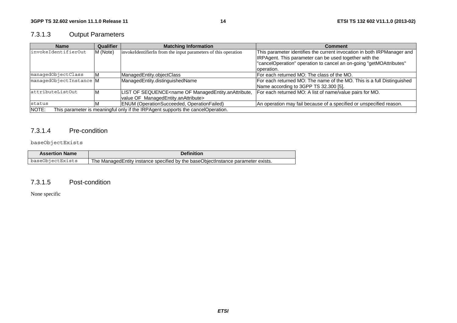### 7.3.1.3 Output Parameters

| Qualifier<br><b>Matching Information</b><br><b>Name</b>                                           |    |                                                                                                                                            | <b>Comment</b>                                                          |
|---------------------------------------------------------------------------------------------------|----|--------------------------------------------------------------------------------------------------------------------------------------------|-------------------------------------------------------------------------|
| invokeIdentifierOut<br>invokeIdentifierIn from the input parameters of this operation<br>M (Note) |    |                                                                                                                                            | This parameter identifies the current invocation in both IRPManager and |
|                                                                                                   |    |                                                                                                                                            | IRPAgent. This parameter can be used together with the                  |
|                                                                                                   |    |                                                                                                                                            | "cancelOperation" operation to cancel an on-going "getMOAttributes"     |
|                                                                                                   |    |                                                                                                                                            | loperation.                                                             |
| managedObjectClass                                                                                |    | ManagedEntity.objectClass                                                                                                                  | For each returned MO: The class of the MO.                              |
| managedObjectInstance M                                                                           |    | ManagedEntity.distinguishedName                                                                                                            | For each returned MO: The name of the MO. This is a full Distinguished  |
|                                                                                                   |    |                                                                                                                                            | Name according to 3GPP TS 32.300 [5].                                   |
| attributeListOut                                                                                  | ΙM | LIST OF SEQUENCE <name managedentity.anattribute,<="" of="" td=""><td>For each returned MO: A list of name/value pairs for MO.</td></name> | For each returned MO: A list of name/value pairs for MO.                |
|                                                                                                   |    | value OF ManagedEntity.anAttribute>                                                                                                        |                                                                         |
| status                                                                                            |    | <b>ENUM</b> (OperationSucceeded, OperationFailed)                                                                                          | An operation may fail because of a specified or unspecified reason.     |
| NOTE:                                                                                             |    | This parameter is meaningful only if the IRPAgent supports the cancelOperation.                                                            |                                                                         |

#### 7.3.1.4 Pre-condition

#### baseObjectExists

| <b>Assertion Name</b> | <b>Definition</b>                                                                   |  |
|-----------------------|-------------------------------------------------------------------------------------|--|
| baseObiectExists      | The Managed Entity instance specified by the base Object Instance parameter exists. |  |

#### 7.3.1.5 Post-condition

None specific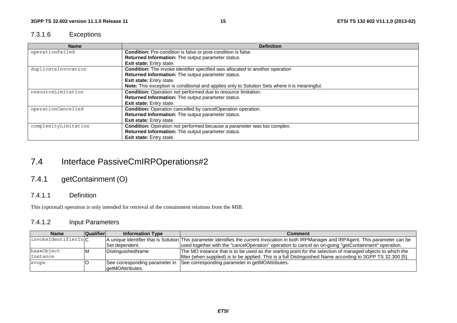#### 7.3.1.6 Exceptions

| <b>Name</b>                                                                                            | <b>Definition</b>                                                                             |  |
|--------------------------------------------------------------------------------------------------------|-----------------------------------------------------------------------------------------------|--|
| operationFailed<br>Condition: Pre-condition is false or post-condition is false.                       |                                                                                               |  |
|                                                                                                        | Returned Information: The output parameter status.                                            |  |
|                                                                                                        | Exit state: Entry state.                                                                      |  |
| duplicateInvocation                                                                                    | Condition: The invoke identifier specified was allocated to another operation                 |  |
|                                                                                                        | Returned Information: The output parameter status.                                            |  |
|                                                                                                        | <b>Exit state:</b> Entry state.                                                               |  |
|                                                                                                        | Note: This exception is conditional and applies only to Solution Sets where it is meaningful. |  |
| resourceLimitation<br><b>Condition:</b> Operation not performed due to resource limitation.            |                                                                                               |  |
|                                                                                                        | Returned Information: The output parameter status.                                            |  |
|                                                                                                        | <b>Exit state:</b> Entry state.                                                               |  |
| operationCancelled                                                                                     | Condition: Operation cancelled by cancelOperation operation.                                  |  |
|                                                                                                        | Returned Information: The output parameter status.                                            |  |
|                                                                                                        | <b>Exit state:</b> Entry state.                                                               |  |
| <b>Condition:</b> Operation not performed because a parameter was too complex.<br>complexityLimitation |                                                                                               |  |
|                                                                                                        | Returned Information: The output parameter status.                                            |  |
|                                                                                                        | Exit state: Entry state.                                                                      |  |

# 7.4 Interface PassiveCmIRPOperations#2

### 7.4.1 getContainment (O)

#### 7.4.1.1 Definition

This (optional) operation is only intended for retrieval of the containment relations from the MIB.

#### 7.4.1.2 Input Parameters

| <b>Name</b>                  | Qualifier | <b>Information Type</b> | Comment                                                                                                                                      |
|------------------------------|-----------|-------------------------|----------------------------------------------------------------------------------------------------------------------------------------------|
| $ $ invokeIdentifierIn $ C $ |           |                         | A unique identifier that is Solution This parameter identifies the current invocation in both IRPManager and IRPAgent. This parameter can be |
|                              |           | ISet dependent.         | used together with the "cancelOperation" operation to cancel an on-going "getContainment" operation.                                         |
| baseObject                   |           | DistinguishedName       | The MO instance that is to be used as the starting point for the selection of managed objects to which the                                   |
| Instance                     |           |                         | filter (when supplied) is to be applied. This is a full Distinguished Name according to 3GPP TS 32.300 [5].                                  |
| scope                        |           |                         | See corresponding parameter in See corresponding parameter in getMOAttributes.                                                               |
|                              |           | laetMOAttributes.       |                                                                                                                                              |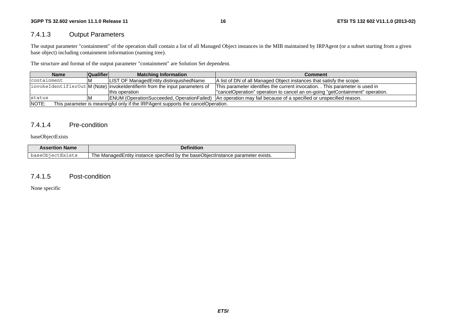#### 7.4.1.3 Output Parameters

The output parameter "containment" of the operation shall contain a list of all Managed Object instances in the MIB maintained by IRPAgent (or a subset starting from a given base object) including containment information (naming tree).

The structure and format of the output parameter "containment" are Solution Set dependent.

| <b>Qualifier</b><br><b>Matching Information</b><br><b>Name</b>                                                              |  |                                                                              | Comment                                                                       |
|-----------------------------------------------------------------------------------------------------------------------------|--|------------------------------------------------------------------------------|-------------------------------------------------------------------------------|
| containment                                                                                                                 |  | <b>ILIST OF ManagedEntity.distinguishedName</b>                              | A list of DN of all Managed Object instances that satisfy the scope.          |
|                                                                                                                             |  | invokeIdentifierOut M (Note) invokeIdentifierIn from the input parameters of | This parameter identifies the current invocation. . This parameter is used in |
|                                                                                                                             |  | this operation                                                               | "cancelOperation" operation to cancel an on-going "getContainment" operation. |
| ENUM (OperationSucceeded, OperationFailed)   An operation may fail because of a specified or unspecified reason.<br>Istatus |  |                                                                              |                                                                               |
| NOTE:<br>This parameter is meaningful only if the IRPAgent supports the cancelOperation.                                    |  |                                                                              |                                                                               |

#### 7.4.1.4 Pre-condition

baseObjectExists

| <b>Assertion Name</b> | Definition                                                                          |
|-----------------------|-------------------------------------------------------------------------------------|
| baseObiectExists      | The Managed Entity instance specified by the base Object Instance parameter exists. |

#### 7.4.1.5 Post-condition

None specific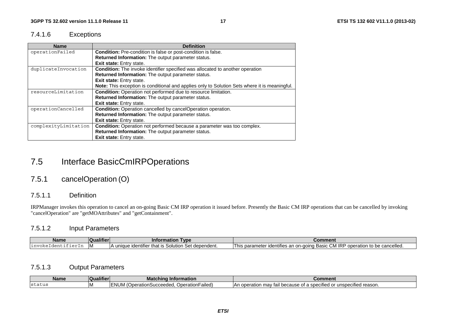#### 7.4.1.6 Exceptions

| <b>Name</b>          | <b>Definition</b>                                                                                    |  |  |
|----------------------|------------------------------------------------------------------------------------------------------|--|--|
| operationFailed      | Condition: Pre-condition is false or post-condition is false.                                        |  |  |
|                      | Returned Information: The output parameter status.                                                   |  |  |
|                      | <b>Exit state:</b> Entry state.                                                                      |  |  |
| duplicateInvocation  | <b>Condition:</b> The invoke identifier specified was allocated to another operation                 |  |  |
|                      | Returned Information: The output parameter status.                                                   |  |  |
|                      | Exit state: Entry state.                                                                             |  |  |
|                      | <b>Note:</b> This exception is conditional and applies only to Solution Sets where it is meaningful. |  |  |
| resourceLimitation   | Condition: Operation not performed due to resource limitation.                                       |  |  |
|                      | Returned Information: The output parameter status.                                                   |  |  |
|                      | <b>Exit state:</b> Entry state.                                                                      |  |  |
| operationCancelled   | Condition: Operation cancelled by cancelOperation operation.                                         |  |  |
|                      | Returned Information: The output parameter status.                                                   |  |  |
|                      | <b>Exit state:</b> Entry state.                                                                      |  |  |
| complexityLimitation | Condition: Operation not performed because a parameter was too complex.                              |  |  |
|                      | Returned Information: The output parameter status.                                                   |  |  |
|                      | <b>Exit state:</b> Entry state.                                                                      |  |  |

# 7.5 Interface BasicCmIRPOperations

### 7.5.1 cancelOperation (O)

#### 7.5.1.1 Definition

IRPManager invokes this operation to cancel an on-going Basic CM IRP operation it issued before. Presently the Basic CM IRP operations that can be cancelled by invoking "cancelOperation" are "getMOAttributes" and "getContainment".

#### 7.5.1.2 Input Parameters

| <b>Name</b>          | <br>ualifiel | <b>Type</b><br>matior<br>Infor                                           | Comment                                                                                                                                    |
|----------------------|--------------|--------------------------------------------------------------------------|--------------------------------------------------------------------------------------------------------------------------------------------|
| $\blacksquare$ ninks | ١N           | dependent.<br>unique<br>that<br>Solution<br><b>Identifier</b><br>$\cdot$ | CM IRF<br>. .<br>operation<br>∘cancelled.<br>'his parame<br>$\sim$ on on<br>n-aoina .<br>utities<br>udent:<br>be.<br>…⊔Basic ∶<br>.<br>. . |

#### 7.5.1.3 Output Parameters

| <b>Name</b> | $\cdots$<br>∡ualifier ∶<br>. OF | <b>Matching Information</b>                                        | -----<br>じomment                                                                                                 |
|-------------|---------------------------------|--------------------------------------------------------------------|------------------------------------------------------------------------------------------------------------------|
| Istatus     | 1IV                             | _NUM / 1<br>OperationFailed)<br><b>ENTIM (Operation Succeedom.</b> | $\cdots$<br>rified reason.<br>$\sim$<br>operation<br>.<br>∵a specified c<br>$-$<br>$\sim$<br>Αr<br>וש -<br>.ause |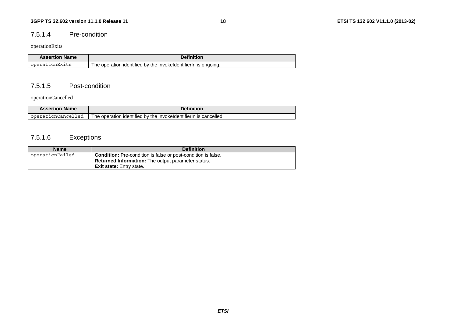#### 7.5.1.4 Pre-condition

#### operationExits

| <b>Assertion Name</b> | Definition                                                                           |
|-----------------------|--------------------------------------------------------------------------------------|
| operationExits        | , invokeldentifierIn<br>≀ the<br>l he operation identified<br>. bv<br>ongoing.<br>ıs |

#### 7.5.1.5 Post-condition

#### operationCancelled

| <b>Assertion Name</b>       | <b>Definition</b>                                                             |
|-----------------------------|-------------------------------------------------------------------------------|
| .onCancelled<br>ope.<br>d L | cancelled.<br>The operation identified<br>1 by the invokeldentifierIn i<br>ıs |

### 7.5.1.6 Exceptions

| <b>Name</b>     | <b>Definition</b>                                                    |
|-----------------|----------------------------------------------------------------------|
| operationFailed | <b>Condition:</b> Pre-condition is false or post-condition is false. |
|                 | <b>Returned Information:</b> The output parameter status.            |
|                 | <b>Exit state:</b> Entry state.                                      |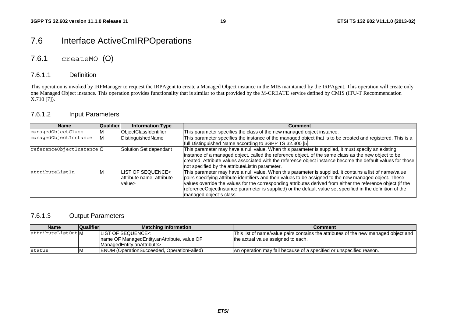# 7.6 Interface ActiveCmIRPOperations

### 7.6.1 createMO (O)

#### 7.6.1.1 Definition

This operation is invoked by IRPManager to request the IRPAgent to create a Managed Object instance in the MIB maintained by the IRPAgent. This operation will create only one Managed Object instance. This operation provides functionality that is similar to that provided by the M-CREATE service defined by CMIS (ITU-T Recommendation  $X.710$  [7]).

#### 7.6.1.2 Input Parameters

| <b>Name</b>              | Qualifier | <b>Information Type</b>                                  | <b>Comment</b>                                                                                                                                                                                                                                                                                                                                                                                                                                                              |
|--------------------------|-----------|----------------------------------------------------------|-----------------------------------------------------------------------------------------------------------------------------------------------------------------------------------------------------------------------------------------------------------------------------------------------------------------------------------------------------------------------------------------------------------------------------------------------------------------------------|
| managedObjectClass       |           | ObjectClassIdentifier                                    | This parameter specifies the class of the new managed object instance.                                                                                                                                                                                                                                                                                                                                                                                                      |
| managedObjectInstance    |           | DistinguishedName                                        | This parameter specifies the instance of the managed object that is to be created and registered. This is a<br>full Distinguished Name according to 3GPP TS 32.300 [5].                                                                                                                                                                                                                                                                                                     |
| referenceObjectInstanceO |           | Solution Set dependant                                   | This parameter may have a null value. When this parameter is supplied, it must specify an existing<br>instance of a managed object, called the reference object, of the same class as the new object to be<br>created. Attribute values associated with the reference object instance become the default values for those<br>not specified by the attributeListIn parameter.                                                                                                |
| attributeListIn          |           | LIST OF SEQUENCE<<br>attribute name, attribute<br>value> | This parameter may have a null value. When this parameter is supplied, it contains a list of name/value<br>pairs specifying attribute identifiers and their values to be assigned to the new managed object. These<br>values override the values for the corresponding attributes derived from either the reference object (if the<br>referenceObjectInstance parameter is supplied) or the default value set specified in the definition of the<br>managed object"s class. |

#### 7.6.1.3 Output Parameters

| <b>Name</b>      | <b>Qualifier</b> | <b>Matching Information</b>                       | Comment                                                                             |
|------------------|------------------|---------------------------------------------------|-------------------------------------------------------------------------------------|
| attributeListOut |                  | <b>ILIST OF SEQUENCE&lt;</b>                      | This list of name/value pairs contains the attributes of the new managed object and |
|                  |                  | Iname OF ManagedEntity.anAttribute, value OF      | the actual value assigned to each.                                                  |
|                  |                  | ManagedEntity.anAttribute>                        |                                                                                     |
| status           | ΙM               | <b>ENUM (OperationSucceeded, OperationFailed)</b> | IAn operation may fail because of a specified or unspecified reason.                |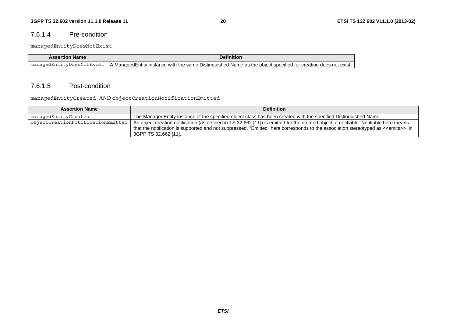#### 7.6.1.4 Pre-condition

managedEntityDoesNotExist

| <b>Name</b><br>Assertion   | <b>Definition</b>                                                                                                                                                    |
|----------------------------|----------------------------------------------------------------------------------------------------------------------------------------------------------------------|
| DoesNotExist<br>mai<br>aae | ManaɑedEntitv instance، ل<br>the same :<br>does not exist.<br>with<br>1 Name as the<br>obiect specified<br>Distinguishe<br>not be<br>creatior<br>$\mathbf{v}$<br>. . |

#### 7.6.1.5 Post-condition

managedEntityCreated AND objectCreationNotificationEmitted

| <b>Assertion Name</b>             | <b>Definition</b>                                                                                                                                                                                                                                                                                                 |
|-----------------------------------|-------------------------------------------------------------------------------------------------------------------------------------------------------------------------------------------------------------------------------------------------------------------------------------------------------------------|
| managedEntityCreated              | The ManagedEntity instance of the specified object class has been created with the specified Distinguished Name.                                                                                                                                                                                                  |
| objectCreationNotificationEmitted | An object creation notification (as defined in TS 32.662 [11]) is emitted for the created object, if notifiable. Notifiable here means<br>that the notification is supported and not suppressed. "Emitted" here corresponds to the association stereotyped as < <emits>&gt; in<br/>i 3GPP TS 32.662 [11].</emits> |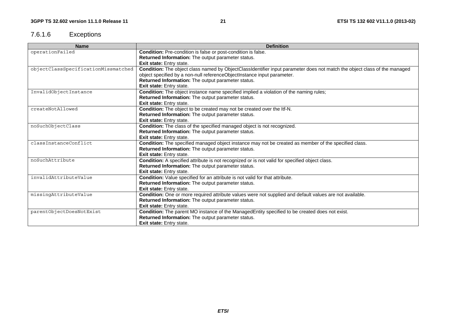### 7.6.1.6 Exceptions

| <b>Name</b>                         | <b>Definition</b>                                                                                                         |
|-------------------------------------|---------------------------------------------------------------------------------------------------------------------------|
| operationFailed                     | Condition: Pre-condition is false or post-condition is false.                                                             |
|                                     | <b>Returned Information:</b> The output parameter status.                                                                 |
|                                     | <b>Exit state:</b> Entry state.                                                                                           |
| objectClassSpecificationMissmatched | Condition: The object class named by ObjectClassIdentifier input parameter does not match the object class of the managed |
|                                     | object specified by a non-null referenceObjectInstance input parameter.                                                   |
|                                     | Returned Information: The output parameter status.                                                                        |
|                                     | Exit state: Entry state.                                                                                                  |
| InvalidObjectInstance               | Condition: The object instance name specified implied a violation of the naming rules;                                    |
|                                     | Returned Information: The output parameter status.                                                                        |
|                                     | Exit state: Entry state.                                                                                                  |
| createNotAllowed                    | Condition: The object to be created may not be created over the Itf-N.                                                    |
|                                     | Returned Information: The output parameter status.                                                                        |
|                                     | Exit state: Entry state.                                                                                                  |
| noSuchObjectClass                   | Condition: The class of the specified managed object is not recognized.                                                   |
|                                     | Returned Information: The output parameter status.                                                                        |
|                                     | <b>Exit state:</b> Entry state.                                                                                           |
| classInstanceConflict               | Condition: The specified managed object instance may not be created as member of the specified class.                     |
|                                     | Returned Information: The output parameter status.                                                                        |
|                                     | Exit state: Entry state.                                                                                                  |
| noSuchAttribute                     | Condition: A specified attribute is not recognized or is not valid for specified object class.                            |
|                                     | Returned Information: The output parameter status.                                                                        |
|                                     | Exit state: Entry state.                                                                                                  |
| invalidAttributeValue               | Condition: Value specified for an attribute is not valid for that attribute.                                              |
|                                     | Returned Information: The output parameter status.                                                                        |
|                                     | Exit state: Entry state.                                                                                                  |
| missingAttributeValue               | Condition: One or more required attribute values were not supplied and default values are not available.                  |
|                                     | Returned Information: The output parameter status.                                                                        |
|                                     | Exit state: Entry state.                                                                                                  |
| parentObjectDoesNotExist            | Condition: The parent MO instance of the ManagedEntity specified to be created does not exist.                            |
|                                     | Returned Information: The output parameter status.                                                                        |
|                                     | <b>Exit state:</b> Entry state.                                                                                           |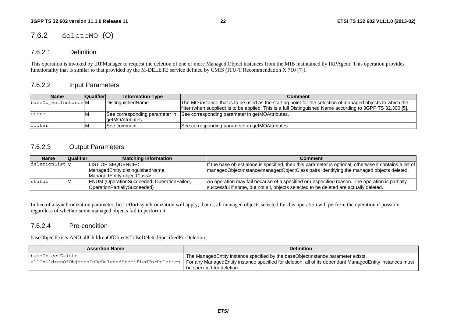### 7.6.2 deleteMO (O)

#### 7.6.2.1 Definition

This operation is invoked by IRPManager to request the deletion of one or more Managed Object instances from the MIB maintained by IRPAgent. This operation provides functionality that is similar to that provided by the M-DELETE service defined by CMIS (ITU-T Recommendation X.710 [7]).

#### 7.6.2.2 Input Parameters

| <b>Name</b>         | Qualifier | <b>Information Type</b> | <b>Comment</b>                                                                                              |
|---------------------|-----------|-------------------------|-------------------------------------------------------------------------------------------------------------|
| baseObjectInstanceM |           | DistinguishedName       | The MO instance that is to be used as the starting point for the selection of managed objects to which the  |
|                     |           |                         | filter (when supplied) is to be applied. This is a full Distinguished Name according to 3GPP TS 32.300 [5]. |
| scope               |           |                         | See corresponding parameter in See corresponding parameter in getMOAttributes.                              |
|                     |           | lgetMOAttributes.       |                                                                                                             |
| filter              |           | ISee comment            | See corresponding parameter in getMOAttributes.                                                             |

#### 7.6.2.3 Output Parameters

| <b>Name</b>   | <b>Qualifier</b> | <b>Matching Information</b>                       | Comment                                                                                                 |
|---------------|------------------|---------------------------------------------------|---------------------------------------------------------------------------------------------------------|
| deletionListM |                  | LIST OF SEQUENCE<                                 | If the base object alone is specified, then this parameter is optional; otherwise it contains a list of |
|               |                  | ManagedEntity.distinguishedName,                  | managedObjectInstance/managedObjectClass pairs identifying the managed objects deleted.                 |
|               |                  | IManagedEntity.objectClass>                       |                                                                                                         |
| Istatus       |                  | <b>ENUM (OperationSucceeded, OperationFailed,</b> | An operation may fail because of a specified or unspecified reason. The operation is partially          |
|               |                  | OperationPartiallySucceeded)                      | successful if some, but not all, objects selected to be deleted are actually deleted.                   |

In lieu of a synchronization parameter, best effort synchronization will apply; that is, all managed objects selected for this operation will perform the operation if possible regardless of whether some managed objects fail to perform it.

#### 7.6.2.4 Pre-condition

baseObjectExists AND allChildrenOfObjectsToBeDeletedSpecifiedForDeletion

| <b>Assertion Name</b>                               | <b>Definition</b>                                                                                        |
|-----------------------------------------------------|----------------------------------------------------------------------------------------------------------|
| baseObjectExists                                    | The Managed Entity instance specified by the base Object Instance parameter exists.                      |
| allChildrenOfObjectsToBeDeletedSpecifiedForDeletion | For any ManagedEntity instance specified for deletion, all of its dependant ManagedEntity instances must |
|                                                     | be specified for deletion.                                                                               |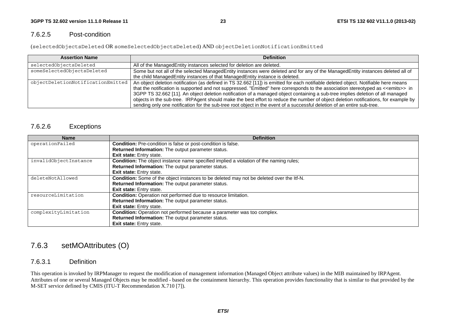#### 7.6.2.5 Post-condition

(selectedObjectsDeleted OR someSelectedObjectsDeleted) AND objectDeletionNotificationEmitted

| <b>Assertion Name</b>             | <b>Definition</b>                                                                                                                                                                                                                                                                                                                                                                                                                                                                                                                                                                                                                                                                          |
|-----------------------------------|--------------------------------------------------------------------------------------------------------------------------------------------------------------------------------------------------------------------------------------------------------------------------------------------------------------------------------------------------------------------------------------------------------------------------------------------------------------------------------------------------------------------------------------------------------------------------------------------------------------------------------------------------------------------------------------------|
| selectedObjectsDeleted            | All of the ManagedEntity instances selected for deletion are deleted.                                                                                                                                                                                                                                                                                                                                                                                                                                                                                                                                                                                                                      |
| someSelectedObjectsDeleted        | Some but not all of the selected ManagedEntity instances were deleted and for any of the ManagedEntity instances deleted all of                                                                                                                                                                                                                                                                                                                                                                                                                                                                                                                                                            |
|                                   | the child ManagedEntity instances of that ManagedEntity instance is deleted.                                                                                                                                                                                                                                                                                                                                                                                                                                                                                                                                                                                                               |
| objectDeletionNotificationEmitted | An object deletion notification (as defined in TS 32.662 [11]) is emitted for each notifiable deleted object. Notifiable here means<br>that the notification is supported and not suppressed. "Emitted" here corresponds to the association stereotyped as < <emits>&gt; in<br/>3GPP TS 32.662 [11]. An object deletion notification of a managed object containing a sub-tree implies deletion of all managed<br/>objects in the sub-tree. IRPAgent should make the best effort to reduce the number of object deletion notifications, for example by<br/>sending only one notification for the sub-tree root object in the event of a successful deletion of an entire sub-tree.</emits> |

#### 7.6.2.6 Exceptions

| <b>Name</b>           | <b>Definition</b>                                                                             |
|-----------------------|-----------------------------------------------------------------------------------------------|
| operationFailed       | Condition: Pre-condition is false or post-condition is false.                                 |
|                       | <b>Returned Information:</b> The output parameter status.                                     |
|                       | <b>Exit state:</b> Entry state.                                                               |
| invalidObjectInstance | <b>Condition:</b> The object instance name specified implied a violation of the naming rules; |
|                       | Returned Information: The output parameter status.                                            |
|                       | <b>Exit state:</b> Entry state.                                                               |
| deleteNotAllowed      | Condition: Some of the object instances to be deleted may not be deleted over the Itf-N.      |
|                       | Returned Information: The output parameter status.                                            |
|                       | <b>Exit state:</b> Entry state.                                                               |
| resourceLimitation    | <b>Condition:</b> Operation not performed due to resource limitation.                         |
|                       | Returned Information: The output parameter status.                                            |
|                       | <b>Exit state:</b> Entry state.                                                               |
| complexityLimitation  | Condition: Operation not performed because a parameter was too complex.                       |
|                       | Returned Information: The output parameter status.                                            |
|                       | Exit state: Entry state.                                                                      |

### 7.6.3 setMOAttributes (O)

#### 7.6.3.1 Definition

This operation is invoked by IRPManager to request the modification of management information (Managed Object attribute values) in the MIB maintained by IRPAgent. Attributes of one or several Managed Objects may be modified - based on the containment hierarchy. This operation provides functionality that is similar to that provided by the M-SET service defined by CMIS (ITU-T Recommendation X.710 [7]).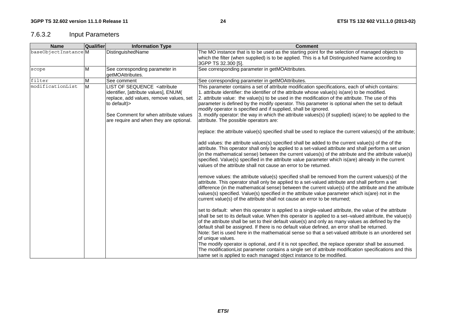### 7.6.3.2 Input Parameters

| <b>Name</b>         | Qualifier | <b>Information Type</b>                                                                                                                                                                                                                    | <b>Comment</b>                                                                                                                                                                                                                                                                                                                                                                                                                                                                                                                                                                                                                                                                                                                                                                                                                                                                                                                                                                                                                                                                                                                                                                                                                                                                                                                                                                                                                                                                                                                                                                                                                                                                                                                                                                                                                                                                                |
|---------------------|-----------|--------------------------------------------------------------------------------------------------------------------------------------------------------------------------------------------------------------------------------------------|-----------------------------------------------------------------------------------------------------------------------------------------------------------------------------------------------------------------------------------------------------------------------------------------------------------------------------------------------------------------------------------------------------------------------------------------------------------------------------------------------------------------------------------------------------------------------------------------------------------------------------------------------------------------------------------------------------------------------------------------------------------------------------------------------------------------------------------------------------------------------------------------------------------------------------------------------------------------------------------------------------------------------------------------------------------------------------------------------------------------------------------------------------------------------------------------------------------------------------------------------------------------------------------------------------------------------------------------------------------------------------------------------------------------------------------------------------------------------------------------------------------------------------------------------------------------------------------------------------------------------------------------------------------------------------------------------------------------------------------------------------------------------------------------------------------------------------------------------------------------------------------------------|
| baseObjectInstanceM |           | DistinguishedName                                                                                                                                                                                                                          | The MO instance that is to be used as the starting point for the selection of managed objects to<br>which the filter (when supplied) is to be applied. This is a full Distinguished Name according to<br>3GPP TS 32.300 [5].                                                                                                                                                                                                                                                                                                                                                                                                                                                                                                                                                                                                                                                                                                                                                                                                                                                                                                                                                                                                                                                                                                                                                                                                                                                                                                                                                                                                                                                                                                                                                                                                                                                                  |
| scope               | M         | See corresponding parameter in<br>getMOAttributes.                                                                                                                                                                                         | See corresponding parameter in getMOAttributes.                                                                                                                                                                                                                                                                                                                                                                                                                                                                                                                                                                                                                                                                                                                                                                                                                                                                                                                                                                                                                                                                                                                                                                                                                                                                                                                                                                                                                                                                                                                                                                                                                                                                                                                                                                                                                                               |
| filter              | M         | See comment                                                                                                                                                                                                                                | See corresponding parameter in getMOAttributes.                                                                                                                                                                                                                                                                                                                                                                                                                                                                                                                                                                                                                                                                                                                                                                                                                                                                                                                                                                                                                                                                                                                                                                                                                                                                                                                                                                                                                                                                                                                                                                                                                                                                                                                                                                                                                                               |
| modificationList    | M         | LIST OF SEQUENCE <attribute<br>identifier, [attribute values], ENUM(<br/>replace, add values, remove values, set<br/>to default) &gt;<br/>See Comment for when attribute values<br/>are require and when they are optional.</attribute<br> | This parameter contains a set of attribute modification specifications, each of which contains:<br>1. attribute identifier: the identifier of the attribute whose value(s) is(are) to be modified.<br>2. attribute value: the value(s) to be used in the modification of the attribute. The use of this<br>parameter is defined by the modify operator. This parameter is optional when the set to default<br>modify operator is specified and if supplied, shall be ignored.<br>3. modify operator: the way in which the attribute values(s) (if supplied) is(are) to be applied to the<br>attribute. The possible operators are:                                                                                                                                                                                                                                                                                                                                                                                                                                                                                                                                                                                                                                                                                                                                                                                                                                                                                                                                                                                                                                                                                                                                                                                                                                                            |
|                     |           |                                                                                                                                                                                                                                            | replace: the attribute value(s) specified shall be used to replace the current values(s) of the attribute;<br>add values: the attribute values(s) specified shall be added to the current value(s) of the of the<br>attribute. This operator shall only be applied to a set-valued attribute and shall perform a set union<br>(in the mathematical sense) between the current values(s) of the attribute and the attribute value(s)<br>specified. Value(s) specified in the attribute value parameter which is(are) already in the current<br>values of the attribute shall not cause an error to be returned.<br>remove values: the attribute value(s) specified shall be removed from the current values(s) of the<br>attribute. This operator shall only be applied to a set-valued attribute and shall perform a set<br>difference (in the mathematical sense) between the current value(s) of the attribute and the attribute<br>values(s) specified. Value(s) specified in the attribute value parameter which is(are) not in the<br>current value(s) of the attribute shall not cause an error to be returned;<br>set to default: when this operator is applied to a single-valued attribute, the value of the attribute<br>shall be set to its default value. When this operator is applied to a set-valued attribute, the value(s)<br>of the attribute shall be set to their default value(s) and only as many values as defined by the<br>default shall be assigned. If there is no default value defined, an error shall be returned.<br>Note: Set is used here in the mathematical sense so that a set-valued attribute is an unordered set<br>of unique values.<br>The modify operator is optional, and if it is not specified, the replace operator shall be assumed.<br>The modificationList parameter contains a single set of attribute modification specifications and this |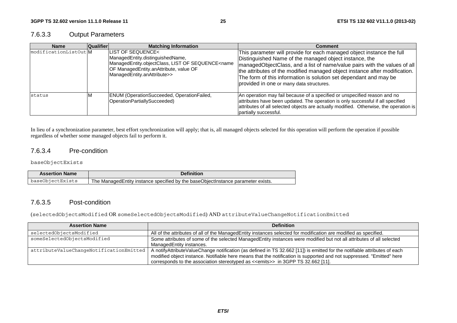#### 7.6.3.3 Output Parameters

| <b>Name</b>           | <b>Qualifier</b> | <b>Matching Information</b>                                                                                                                                                                          | <b>Comment</b>                                                                                                                                                                                                                                                                                                                                                                                               |
|-----------------------|------------------|------------------------------------------------------------------------------------------------------------------------------------------------------------------------------------------------------|--------------------------------------------------------------------------------------------------------------------------------------------------------------------------------------------------------------------------------------------------------------------------------------------------------------------------------------------------------------------------------------------------------------|
| modificationListOut M |                  | LIST OF SEQUENCE<<br>ManagedEntity.distinguishedName,<br>ManagedEntity.objectClass, LIST OF SEQUENCE <name<br>OF ManagedEntity.anAttribute, value OF<br/>ManagedEntity.anAttribute&gt;&gt;</name<br> | This parameter will provide for each managed object instance the full<br>Distinguished Name of the managed object instance, the<br> managedObjectClass, and a list of name/value pairs with the values of all<br>the attributes of the modified managed object instance after modification.<br>The form of this information is solution set dependant and may be<br>provided in one or many data structures. |
| <b>status</b>         |                  | ENUM (OperationSucceeded, OperationFailed,<br>OperationPartiallySucceeded)                                                                                                                           | An operation may fail because of a specified or unspecified reason and no<br>attributes have been updated. The operation is only successful if all specified<br>attributes of all selected objects are actually modified. Otherwise, the operation is<br>partially successful.                                                                                                                               |

In lieu of a synchronization parameter, best effort synchronization will apply; that is, all managed objects selected for this operation will perform the operation if possible regardless of whether some managed objects fail to perform it.

#### 7.6.3.4 Pre-condition

#### baseObjectExists

| <b>Assertion Name</b> | Definition                                                                          |
|-----------------------|-------------------------------------------------------------------------------------|
| baseObiectExists      | The Managed Entity instance specified by the base Object Instance parameter exists. |

#### 7.6.3.5 Post-condition

(selectedObjectsModified OR someSelectedObjectsModified) AND attributeValueChangeNotificationEmitted

| <b>Assertion Name</b>                   | <b>Definition</b>                                                                                                                                                                                                                                                                                                                                 |
|-----------------------------------------|---------------------------------------------------------------------------------------------------------------------------------------------------------------------------------------------------------------------------------------------------------------------------------------------------------------------------------------------------|
| selectedObjectsModified                 | All of the attributes of all of the ManagedEntity instances selected for modification are modified as specified.                                                                                                                                                                                                                                  |
| someSelectedObjectsModified             | Some attributes of some of the selected ManagedEntity instances were modified but not all attributes of all selected<br>ManagedEntity instances.                                                                                                                                                                                                  |
| attributeValueChangeNotificationEmitted | A notifyAttributeValueChange notification (as defined in TS 32.662 [11]) is emitted for the notifiable attributes of each<br>modified object instance. Notifiable here means that the notification is supported and not suppressed. "Emitted" here<br>corresponds to the association stereotyped as < <emits>&gt; in 3GPP TS 32.662 [11].</emits> |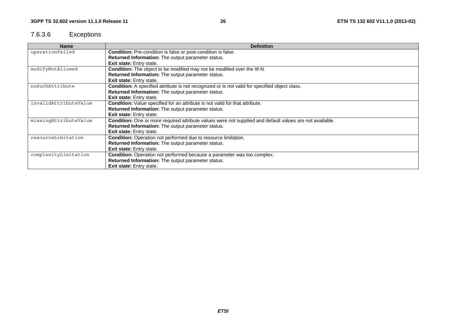### 7.6.3.6 Exceptions

| <b>Name</b>           | <b>Definition</b>                                                                                        |
|-----------------------|----------------------------------------------------------------------------------------------------------|
| operationFailed       | Condition: Pre-condition is false or post-condition is false.                                            |
|                       | Returned Information: The output parameter status.                                                       |
|                       | <b>Exit state:</b> Entry state.                                                                          |
| modifyNotAllowed      | Condition: The object to be modified may not be modified over the ltf-N.                                 |
|                       | Returned Information: The output parameter status.                                                       |
|                       | Exit state: Entry state.                                                                                 |
| noSuchAttribute       | Condition: A specified attribute is not recognized or is not valid for specified object class.           |
|                       | <b>Returned Information:</b> The output parameter status.                                                |
|                       | <b>Exit state:</b> Entry state.                                                                          |
| invalidAttributeValue | <b>Condition:</b> Value specified for an attribute is not valid for that attribute.                      |
|                       | Returned Information: The output parameter status.                                                       |
|                       | <b>Exit state:</b> Entry state.                                                                          |
| missingAttributeValue | Condition: One or more required attribute values were not supplied and default values are not available. |
|                       | <b>Returned Information:</b> The output parameter status.                                                |
|                       | <b>Exit state:</b> Entry state.                                                                          |
| resourceLimitation    | <b>Condition:</b> Operation not performed due to resource limitation.                                    |
|                       | Returned Information: The output parameter status.                                                       |
|                       | Exit state: Entry state.                                                                                 |
| complexityLimitation  | Condition: Operation not performed because a parameter was too complex.                                  |
|                       | Returned Information: The output parameter status.                                                       |
|                       | Exit state: Entry state.                                                                                 |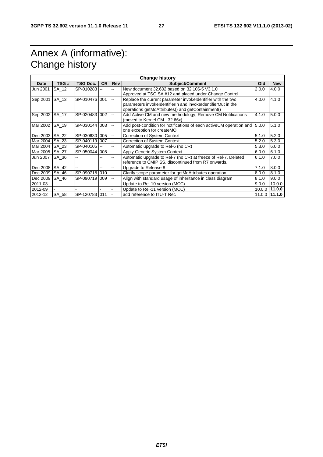# Annex A (informative): Change history

| <b>Change history</b> |       |                 |           |                          |                                                                             |         |                |
|-----------------------|-------|-----------------|-----------|--------------------------|-----------------------------------------------------------------------------|---------|----------------|
| Date                  | TSG#  | <b>TSG Doc.</b> | <b>CR</b> | <b>Rev</b>               | <b>Subject/Comment</b>                                                      | Old     | <b>New</b>     |
| Jun 2001              | SA 12 | SP-010283       |           | $\overline{a}$           | New document 32,602 based on 32,106-5 V3,1,0                                | 2.0.0   | 4.0.0          |
|                       |       |                 |           |                          | Approved at TSG SA #12 and placed under Change Control                      |         |                |
| Sep 2001              | SA 13 | SP-010476 001   |           | $\overline{\phantom{a}}$ | Replace the current parameter invokeldentifier with the two                 | 4.0.0   | 4.1.0          |
|                       |       |                 |           |                          | parameters invokeldentifierln and invokeldentifierOut in the                |         |                |
|                       |       |                 |           |                          | operations getMoAttributes() and getContainment()                           |         |                |
| Sep 2002              | SA 17 | SP-020483 002   |           | --                       | Add Active CM and new methodology, Remove CM Notifications                  | 4.1.0   | 5.0.0          |
|                       |       |                 |           |                          | (moved to Kernel CM - 32.66x)                                               |         |                |
| Mar 2002              | SA 19 | SP-030144       | 003       | --                       | Add post-condition for notifications of each active CM operation and 15.0.0 |         | 5.1.0          |
|                       |       |                 |           |                          | one exception for createMO                                                  |         |                |
| Dec 2003              | SA_22 | SP-030630 005   |           | --                       | <b>Correction of System Context</b>                                         | 5.1.0   | 5.2.0          |
| Mar 2004              | SA 23 | SP-040119 007   |           | $\overline{\phantom{a}}$ | <b>Correction of System Context</b>                                         | 5.2.0   | 5.3.0          |
| Mar 2004              | SA 23 | SP-040105       |           | --                       | Automatic upgrade to Rel-6 (no CR)                                          | 5.3.0   | 6.0.0          |
| Mar 2005              | SA 27 | SP-050044 008   |           | $\overline{\phantom{a}}$ | Apply Generic System Context                                                | 6.0.0   | 6.1.0          |
| Jun 2007              | SA 36 |                 |           |                          | Automatic upgrade to Rel-7 (no CR) at freeze of Rel-7. Deleted              | 6.1.0   | 7.0.0          |
|                       |       |                 |           |                          | reference to CMIP SS, discontinued from R7 onwards.                         |         |                |
| Dec 2008              | SA 42 | $\overline{a}$  |           | --                       | Upgrade to Release 8                                                        | 7.1.0   | 8.0.0          |
| Dec 2009              | SA 46 | SP-090718 010   |           | $\overline{a}$           | Clarify scope parameter for getMoAttributes operation                       | 8.0.0   | 8.1.0          |
| Dec 2009              | SA 46 | SP-090719 009   |           |                          | Align with standard usage of inheritance in class diagram                   | 8.1.0   | 9.0.0          |
| 2011-03               |       |                 |           |                          | Update to Rel-10 version (MCC)                                              | 9.0.0   | 10.0.0         |
| 2012-09               |       |                 |           |                          | Update to Rel-11 version (MCC)                                              | 10.0.01 | 11.0.0         |
| 2012-12               | SA 58 | SP-120783 011   |           |                          | add reference to ITU-T Rec                                                  |         | 11.0.0 111.1.0 |